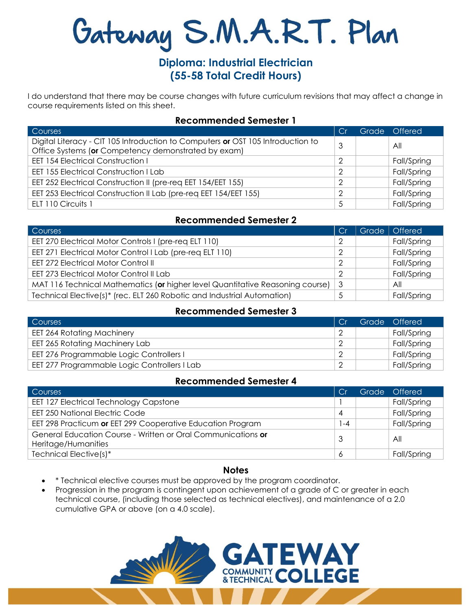# Gateway S.M.A.R.T. Plan

# **Diploma: Industrial Electrician (55-58 Total Credit Hours)**

I do understand that there may be course changes with future curriculum revisions that may affect a change in course requirements listed on this sheet.

#### **Recommended Semester 1**

| Courses                                                                         |   | Grade Offered |
|---------------------------------------------------------------------------------|---|---------------|
| Digital Literacy - CIT 105 Introduction to Computers or OST 105 Introduction to | 3 | All           |
| Office Systems (or Competency demonstrated by exam)                             |   |               |
| <b>EET 154 Electrical Construction I</b>                                        | 2 | Fall/Spring   |
| <b>EET 155 Electrical Construction I Lab</b>                                    | っ | Fall/Spring   |
| EET 252 Electrical Construction II (pre-req EET 154/EET 155)                    | っ | Fall/Spring   |
| EET 253 Electrical Construction II Lab (pre-req EET 154/EET 155)                | ာ | Fall/Spring   |
| ELT 110 Circuits 1                                                              | 5 | Fall/Spring   |

## **Recommended Semester 2**

| Courses                                                                       | Cr | Grade   Offered |
|-------------------------------------------------------------------------------|----|-----------------|
| EET 270 Electrical Motor Controls I (pre-reg ELT 110)                         | 2  | Fall/Spring     |
| EET 271 Electrical Motor Control I Lab (pre-req ELT 110)                      | 2  | Fall/Spring     |
| <b>EET 272 Electrical Motor Control II</b>                                    | ာ  | Fall/Spring     |
| <b>EET 273 Electrical Motor Control II Lab</b>                                | 2  | Fall/Spring     |
| MAT 116 Technical Mathematics (or higher level Quantitative Reasoning course) | 3  | All             |
| Technical Elective(s)* (rec. ELT 260 Robotic and Industrial Automation)       | 5  | Fall/Spring     |

## **Recommended Semester 3**

| Courses                                      | Cr | Grade <sup>1</sup> | <b>Offered</b> |
|----------------------------------------------|----|--------------------|----------------|
| <b>EET 264 Rotating Machinery</b>            |    |                    | Fall/Spring    |
| EET 265 Rotating Machinery Lab               |    |                    | Fall/Spring    |
| EET 276 Programmable Logic Controllers I     |    |                    | Fall/Spring    |
| EET 277 Programmable Logic Controllers I Lab |    |                    | Fall/Spring    |

#### **Recommended Semester 4**

| <b>Courses</b>                                                                      | Cr | Grade | Offered     |
|-------------------------------------------------------------------------------------|----|-------|-------------|
| <b>EET 127 Electrical Technology Capstone</b>                                       |    |       | Fall/Spring |
| <b>EET 250 National Electric Code</b>                                               | 4  |       | Fall/Spring |
| EET 298 Practicum or EET 299 Cooperative Education Program                          | -4 |       | Fall/Spring |
| General Education Course - Written or Oral Communications or<br>Heritage/Humanities |    |       | All         |
| Technical Elective(s)*                                                              | 6  |       | Fall/Spring |

## **Notes**

- \* Technical elective courses must be approved by the program coordinator.
- Progression in the program is contingent upon achievement of a grade of C or greater in each technical course, (including those selected as technical electives), and maintenance of a 2.0 cumulative GPA or above (on a 4.0 scale).